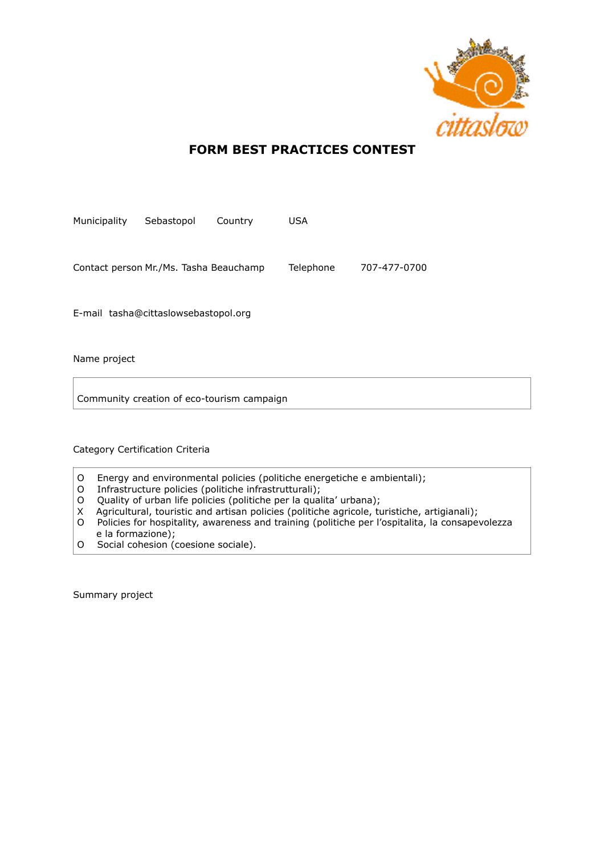

## **FORM BEST PRACTICES CONTEST**

| Municipality                           | Sebastopol | Country | USA       |              |
|----------------------------------------|------------|---------|-----------|--------------|
| Contact person Mr./Ms. Tasha Beauchamp |            |         | Telephone | 707-477-0700 |

E-mail tasha@cittaslowsebastopol.org

Name project

Community creation of eco-tourism campaign

Category Certification Criteria

- O Energy and environmental policies (politiche energetiche e ambientali);
- O Infrastructure policies (politiche infrastrutturali);
- O Quality of urban life policies (politiche per la qualita' urbana);
- X Agricultural, touristic and artisan policies (politiche agricole, turistiche, artigianali);
- O Policies for hospitality, awareness and training (politiche per l'ospitalita, la consapevolezza e la formazione);
- O Social cohesion (coesione sociale).

Summary project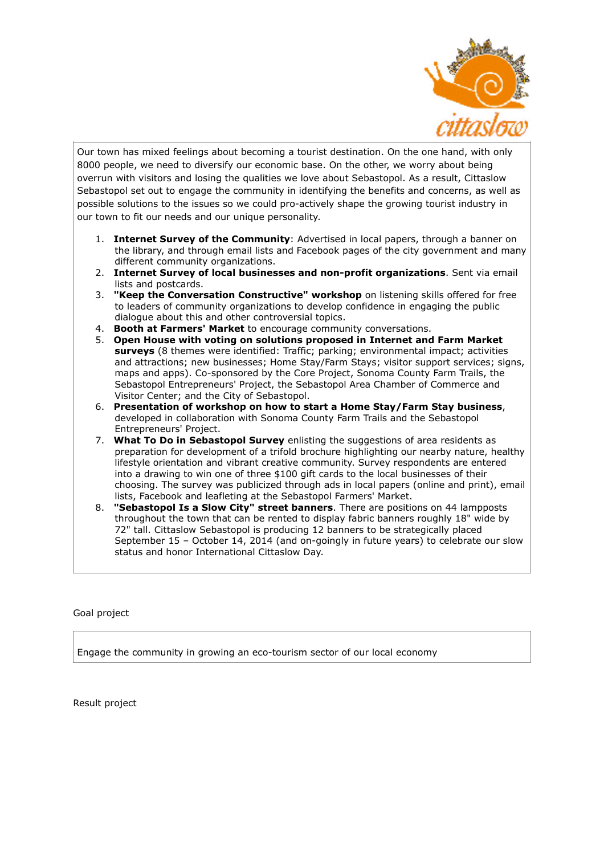

Our town has mixed feelings about becoming a tourist destination. On the one hand, with only 8000 people, we need to diversify our economic base. On the other, we worry about being overrun with visitors and losing the qualities we love about Sebastopol. As a result, Cittaslow Sebastopol set out to engage the community in identifying the benefits and concerns, as well as possible solutions to the issues so we could pro-actively shape the growing tourist industry in our town to fit our needs and our unique personality.

- 1. **Internet Survey of the Community**: Advertised in local papers, through a banner on the library, and through email lists and Facebook pages of the city government and many different community organizations.
- 2. **Internet Survey of local businesses and non-profit organizations**. Sent via email lists and postcards.
- 3. **"Keep the Conversation Constructive" workshop** on listening skills offered for free to leaders of community organizations to develop confidence in engaging the public dialogue about this and other controversial topics.
- 4. **Booth at Farmers' Market** to encourage community conversations.
- 5. **Open House with voting on solutions proposed in Internet and Farm Market surveys** (8 themes were identified: Traffic; parking; environmental impact; activities and attractions; new businesses; Home Stay/Farm Stays; visitor support services; signs, maps and apps). Co-sponsored by the Core Project, Sonoma County Farm Trails, the Sebastopol Entrepreneurs' Project, the Sebastopol Area Chamber of Commerce and Visitor Center; and the City of Sebastopol.
- 6. **Presentation of workshop on how to start a Home Stay/Farm Stay business**, developed in collaboration with Sonoma County Farm Trails and the Sebastopol Entrepreneurs' Project.
- 7. **What To Do in Sebastopol Survey** enlisting the suggestions of area residents as preparation for development of a trifold brochure highlighting our nearby nature, healthy lifestyle orientation and vibrant creative community. Survey respondents are entered into a drawing to win one of three \$100 gift cards to the local businesses of their choosing. The survey was publicized through ads in local papers (online and print), email lists, Facebook and leafleting at the Sebastopol Farmers' Market.
- 8. **"Sebastopol Is a Slow City" street banners**. There are positions on 44 lampposts throughout the town that can be rented to display fabric banners roughly 18" wide by 72" tall. Cittaslow Sebastopol is producing 12 banners to be strategically placed September 15 – October 14, 2014 (and on-goingly in future years) to celebrate our slow status and honor International Cittaslow Day.

## Goal project

Engage the community in growing an eco-tourism sector of our local economy

Result project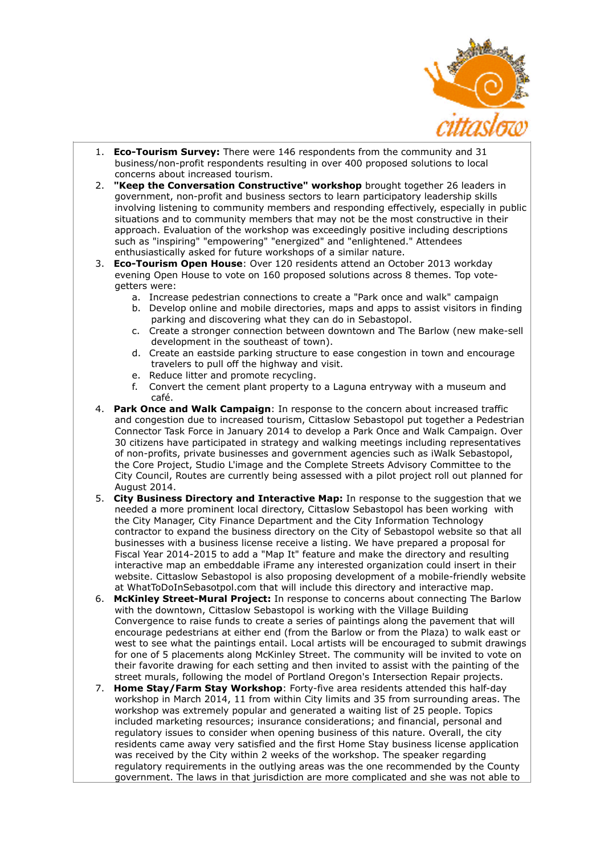

- 1. **Eco-Tourism Survey:** There were 146 respondents from the community and 31 business/non-profit respondents resulting in over 400 proposed solutions to local concerns about increased tourism.
- 2. **"Keep the Conversation Constructive" workshop** brought together 26 leaders in government, non-profit and business sectors to learn participatory leadership skills involving listening to community members and responding effectively, especially in public situations and to community members that may not be the most constructive in their approach. Evaluation of the workshop was exceedingly positive including descriptions such as "inspiring" "empowering" "energized" and "enlightened." Attendees enthusiastically asked for future workshops of a similar nature.
- 3. **Eco-Tourism Open House**: Over 120 residents attend an October 2013 workday evening Open House to vote on 160 proposed solutions across 8 themes. Top votegetters were:
	- a. Increase pedestrian connections to create a "Park once and walk" campaign
	- b. Develop online and mobile directories, maps and apps to assist visitors in finding parking and discovering what they can do in Sebastopol.
	- c. Create a stronger connection between downtown and The Barlow (new make-sell development in the southeast of town).
	- d. Create an eastside parking structure to ease congestion in town and encourage travelers to pull off the highway and visit.
	- e. Reduce litter and promote recycling.
	- f. Convert the cement plant property to a Laguna entryway with a museum and café.
- 4. **Park Once and Walk Campaign**: In response to the concern about increased traffic and congestion due to increased tourism, Cittaslow Sebastopol put together a Pedestrian Connector Task Force in January 2014 to develop a Park Once and Walk Campaign. Over 30 citizens have participated in strategy and walking meetings including representatives of non-profits, private businesses and government agencies such as iWalk Sebastopol, the Core Project, Studio L'image and the Complete Streets Advisory Committee to the City Council, Routes are currently being assessed with a pilot project roll out planned for August 2014.
- 5. **City Business Directory and Interactive Map:** In response to the suggestion that we needed a more prominent local directory, Cittaslow Sebastopol has been working with the City Manager, City Finance Department and the City Information Technology contractor to expand the business directory on the City of Sebastopol website so that all businesses with a business license receive a listing. We have prepared a proposal for Fiscal Year 2014-2015 to add a "Map It" feature and make the directory and resulting interactive map an embeddable iFrame any interested organization could insert in their website. Cittaslow Sebastopol is also proposing development of a mobile-friendly website at WhatToDoInSebasotpol.com that will include this directory and interactive map.
- 6. **McKinley Street-Mural Project:** In response to concerns about connecting The Barlow with the downtown, Cittaslow Sebastopol is working with the Village Building Convergence to raise funds to create a series of paintings along the pavement that will encourage pedestrians at either end (from the Barlow or from the Plaza) to walk east or west to see what the paintings entail. Local artists will be encouraged to submit drawings for one of 5 placements along McKinley Street. The community will be invited to vote on their favorite drawing for each setting and then invited to assist with the painting of the street murals, following the model of Portland Oregon's Intersection Repair projects.
- 7. **Home Stay/Farm Stay Workshop**: Forty-five area residents attended this half-day workshop in March 2014, 11 from within City limits and 35 from surrounding areas. The workshop was extremely popular and generated a waiting list of 25 people. Topics included marketing resources; insurance considerations; and financial, personal and regulatory issues to consider when opening business of this nature. Overall, the city residents came away very satisfied and the first Home Stay business license application was received by the City within 2 weeks of the workshop. The speaker regarding regulatory requirements in the outlying areas was the one recommended by the County government. The laws in that jurisdiction are more complicated and she was not able to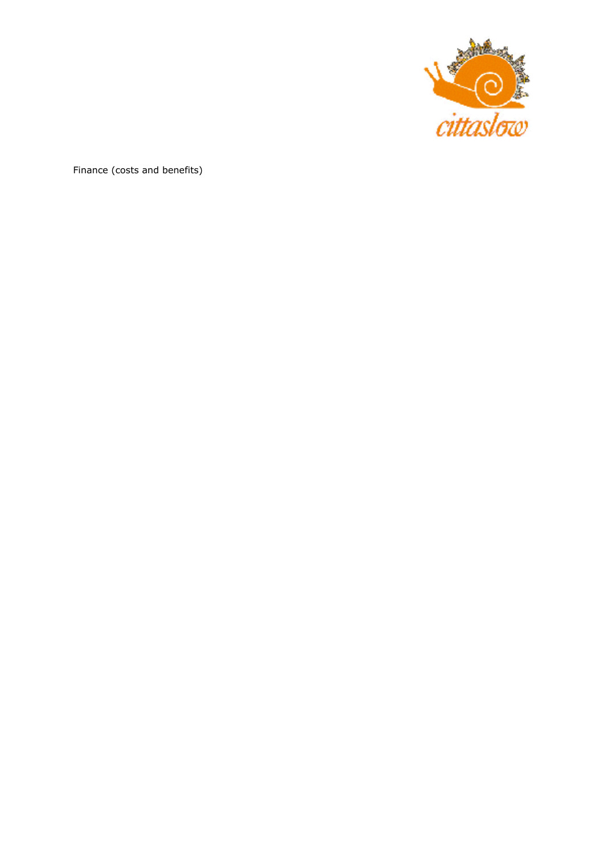

Finance (costs and benefits)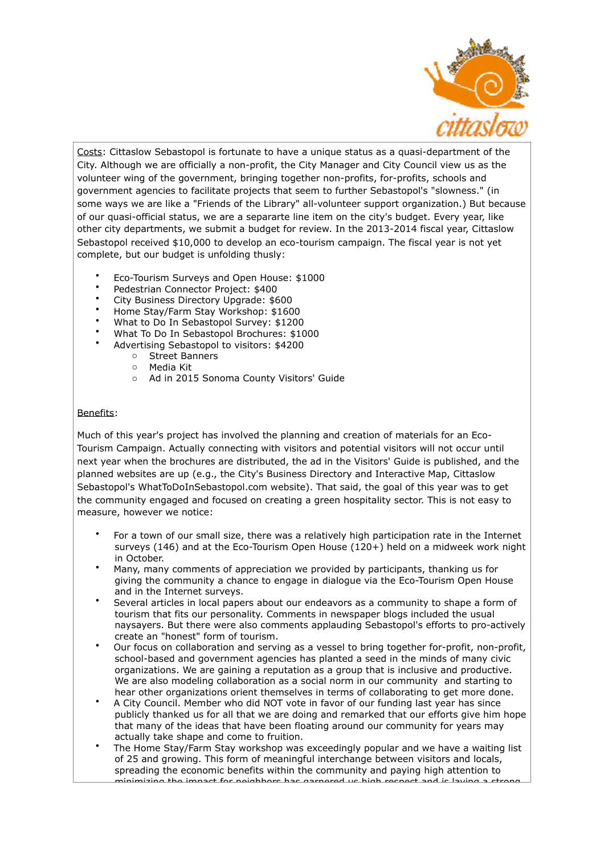

Costs: Cittaslow Sebastopol is fortunate to have a unique status as a quasi-department of the City. Although we are officially a non-profit, the City Manager and City Council view us as the volunteer wing of the government, bringing together non-profits, for-profits, schools and government agencies to facilitate projects that seem to further Sebastopol's "slowness." (in some ways we are like a "Friends of the Library" all-volunteer support organization.) But because of our quasi-official status, we are a separarte line item on the city's budget. Every year, like other city departments, we submit a budget for review. In the 2013-2014 fiscal year, Cittaslow Sebastopol received \$10,000 to develop an eco-tourism campaign. The fiscal year is not yet complete, but our budget is unfolding thusly:

- Eco-Tourism Surveys and Open House: \$1000
- Pedestrian Connector Project: \$400
- City Business Directory Upgrade: \$600
- Home Stay/Farm Stay Workshop: \$1600
- What to Do In Sebastopol Survey: \$1200
- What To Do In Sebastopol Brochures: \$1000
- Advertising Sebastopol to visitors: \$4200
	- o Street Banners
	- o Media Kit
	- o Ad in 2015 Sonoma County Visitors' Guide

## Benefits:

Much of this year's project has involved the planning and creation of materials for an Eco-Tourism Campaign. Actually connecting with visitors and potential visitors will not occur until next year when the brochures are distributed, the ad in the Visitors' Guide is published, and the planned websites are up (e.g., the City's Business Directory and Interactive Map, Cittaslow Sebastopol's WhatToDoInSebastopol.com website). That said, the goal of this year was to get the community engaged and focused on creating a green hospitality sector. This is not easy to measure, however we notice:

- For a town of our small size, there was a relatively high participation rate in the Internet surveys (146) and at the Eco-Tourism Open House (120+) held on a midweek work night in October.
- Many, many comments of appreciation we provided by participants, thanking us for giving the community a chance to engage in dialogue via the Eco-Tourism Open House and in the Internet surveys.
- Several articles in local papers about our endeavors as a community to shape a form of tourism that fits our personality. Comments in newspaper blogs included the usual naysayers. But there were also comments applauding Sebastopol's efforts to pro-actively create an "honest" form of tourism.
- Our focus on collaboration and serving as a vessel to bring together for-profit, non-profit, school-based and government agencies has planted a seed in the minds of many civic organizations. We are gaining a reputation as a group that is inclusive and productive. We are also modeling collaboration as a social norm in our community and starting to hear other organizations orient themselves in terms of collaborating to get more done.
- A City Council. Member who did NOT vote in favor of our funding last year has since publicly thanked us for all that we are doing and remarked that our efforts give him hope that many of the ideas that have been floating around our community for years may actually take shape and come to fruition.
- The Home Stay/Farm Stay workshop was exceedingly popular and we have a waiting list of 25 and growing. This form of meaningful interchange between visitors and locals, spreading the economic benefits within the community and paying high attention to minimizing the impact for neighbors has garnered us high respect and is laying a strong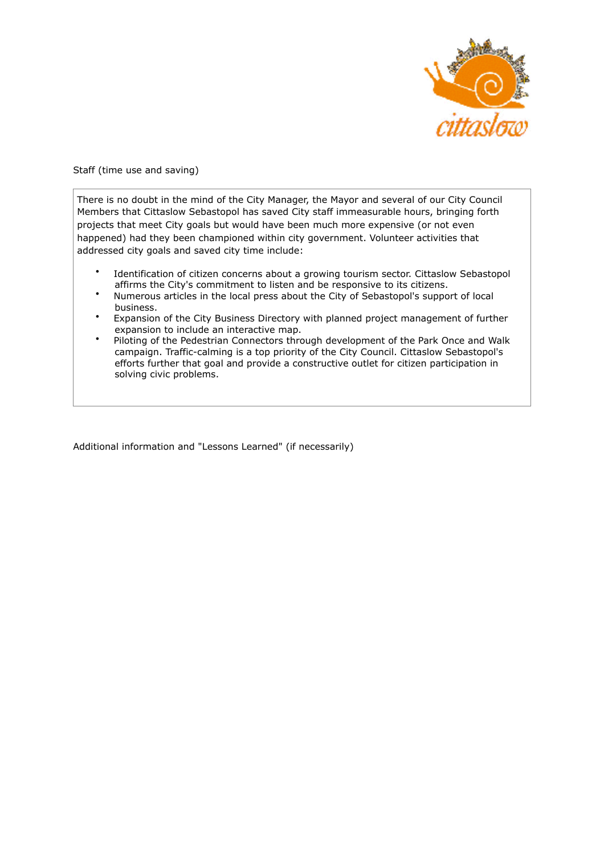

Staff (time use and saving)

There is no doubt in the mind of the City Manager, the Mayor and several of our City Council Members that Cittaslow Sebastopol has saved City staff immeasurable hours, bringing forth projects that meet City goals but would have been much more expensive (or not even happened) had they been championed within city government. Volunteer activities that addressed city goals and saved city time include:

- Identification of citizen concerns about a growing tourism sector. Cittaslow Sebastopol affirms the City's commitment to listen and be responsive to its citizens.
- Numerous articles in the local press about the City of Sebastopol's support of local business.
- Expansion of the City Business Directory with planned project management of further expansion to include an interactive map.
- Piloting of the Pedestrian Connectors through development of the Park Once and Walk campaign. Traffic-calming is a top priority of the City Council. Cittaslow Sebastopol's efforts further that goal and provide a constructive outlet for citizen participation in solving civic problems.

Additional information and "Lessons Learned" (if necessarily)